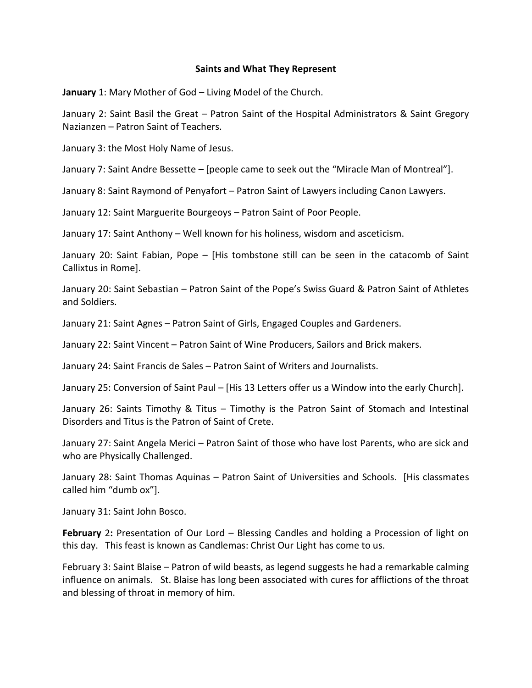## **Saints and What They Represent**

**January** 1: Mary Mother of God – Living Model of the Church.

January 2: Saint Basil the Great – Patron Saint of the Hospital Administrators & Saint Gregory Nazianzen – Patron Saint of Teachers.

January 3: the Most Holy Name of Jesus.

January 7: Saint Andre Bessette – [people came to seek out the "Miracle Man of Montreal"].

January 8: Saint Raymond of Penyafort – Patron Saint of Lawyers including Canon Lawyers.

January 12: Saint Marguerite Bourgeoys – Patron Saint of Poor People.

January 17: Saint Anthony – Well known for his holiness, wisdom and asceticism.

January 20: Saint Fabian, Pope – [His tombstone still can be seen in the catacomb of Saint Callixtus in Rome].

January 20: Saint Sebastian – Patron Saint of the Pope's Swiss Guard & Patron Saint of Athletes and Soldiers.

January 21: Saint Agnes – Patron Saint of Girls, Engaged Couples and Gardeners.

January 22: Saint Vincent – Patron Saint of Wine Producers, Sailors and Brick makers.

January 24: Saint Francis de Sales – Patron Saint of Writers and Journalists.

January 25: Conversion of Saint Paul – [His 13 Letters offer us a Window into the early Church].

January 26: Saints Timothy & Titus – Timothy is the Patron Saint of Stomach and Intestinal Disorders and Titus is the Patron of Saint of Crete.

January 27: Saint Angela Merici – Patron Saint of those who have lost Parents, who are sick and who are Physically Challenged.

January 28: Saint Thomas Aquinas – Patron Saint of Universities and Schools. [His classmates called him "dumb ox"].

January 31: Saint John Bosco.

**February** 2**:** Presentation of Our Lord – Blessing Candles and holding a Procession of light on this day. This feast is known as Candlemas: Christ Our Light has come to us.

February 3: Saint Blaise – Patron of wild beasts, as legend suggests he had a remarkable calming influence on animals. St. Blaise has long been associated with cures for afflictions of the throat and blessing of throat in memory of him.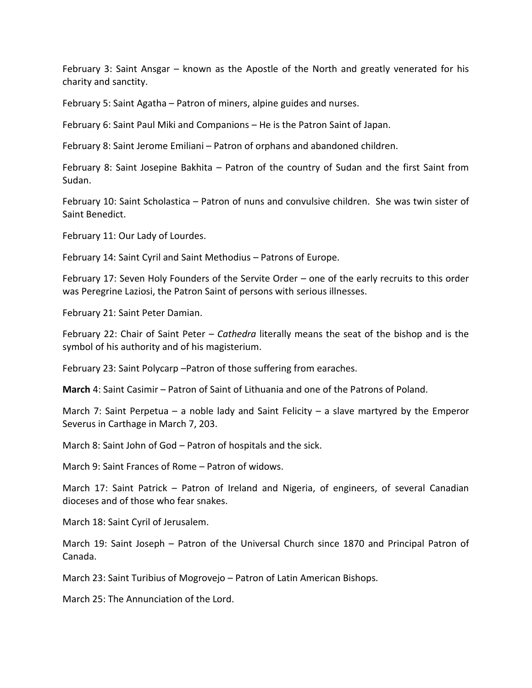February 3: Saint Ansgar – known as the Apostle of the North and greatly venerated for his charity and sanctity.

February 5: Saint Agatha – Patron of miners, alpine guides and nurses.

February 6: Saint Paul Miki and Companions – He is the Patron Saint of Japan.

February 8: Saint Jerome Emiliani – Patron of orphans and abandoned children.

February 8: Saint Josepine Bakhita – Patron of the country of Sudan and the first Saint from Sudan.

February 10: Saint Scholastica – Patron of nuns and convulsive children. She was twin sister of Saint Benedict.

February 11: Our Lady of Lourdes.

February 14: Saint Cyril and Saint Methodius – Patrons of Europe.

February 17: Seven Holy Founders of the Servite Order – one of the early recruits to this order was Peregrine Laziosi, the Patron Saint of persons with serious illnesses.

February 21: Saint Peter Damian.

February 22: Chair of Saint Peter – *Cathedra* literally means the seat of the bishop and is the symbol of his authority and of his magisterium.

February 23: Saint Polycarp –Patron of those suffering from earaches.

**March** 4: Saint Casimir – Patron of Saint of Lithuania and one of the Patrons of Poland.

March 7: Saint Perpetua – a noble lady and Saint Felicity – a slave martyred by the Emperor Severus in Carthage in March 7, 203.

March 8: Saint John of God – Patron of hospitals and the sick.

March 9: Saint Frances of Rome – Patron of widows.

March 17: Saint Patrick – Patron of Ireland and Nigeria, of engineers, of several Canadian dioceses and of those who fear snakes.

March 18: Saint Cyril of Jerusalem.

March 19: Saint Joseph – Patron of the Universal Church since 1870 and Principal Patron of Canada.

March 23: Saint Turibius of Mogrovejo – Patron of Latin American Bishops.

March 25: The Annunciation of the Lord.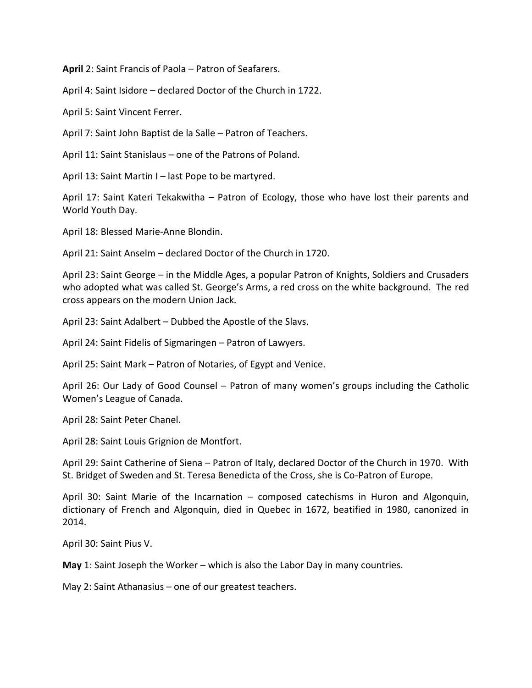**April** 2: Saint Francis of Paola – Patron of Seafarers.

April 4: Saint Isidore – declared Doctor of the Church in 1722.

April 5: Saint Vincent Ferrer.

April 7: Saint John Baptist de la Salle – Patron of Teachers.

April 11: Saint Stanislaus – one of the Patrons of Poland.

April 13: Saint Martin I – last Pope to be martyred.

April 17: Saint Kateri Tekakwitha – Patron of Ecology, those who have lost their parents and World Youth Day.

April 18: Blessed Marie-Anne Blondin.

April 21: Saint Anselm – declared Doctor of the Church in 1720.

April 23: Saint George – in the Middle Ages, a popular Patron of Knights, Soldiers and Crusaders who adopted what was called St. George's Arms, a red cross on the white background. The red cross appears on the modern Union Jack.

April 23: Saint Adalbert – Dubbed the Apostle of the Slavs.

April 24: Saint Fidelis of Sigmaringen – Patron of Lawyers.

April 25: Saint Mark – Patron of Notaries, of Egypt and Venice.

April 26: Our Lady of Good Counsel – Patron of many women's groups including the Catholic Women's League of Canada.

April 28: Saint Peter Chanel.

April 28: Saint Louis Grignion de Montfort.

April 29: Saint Catherine of Siena – Patron of Italy, declared Doctor of the Church in 1970. With St. Bridget of Sweden and St. Teresa Benedicta of the Cross, she is Co-Patron of Europe.

April 30: Saint Marie of the Incarnation – composed catechisms in Huron and Algonquin, dictionary of French and Algonquin, died in Quebec in 1672, beatified in 1980, canonized in 2014.

April 30: Saint Pius V.

**May** 1: Saint Joseph the Worker – which is also the Labor Day in many countries.

May 2: Saint Athanasius – one of our greatest teachers.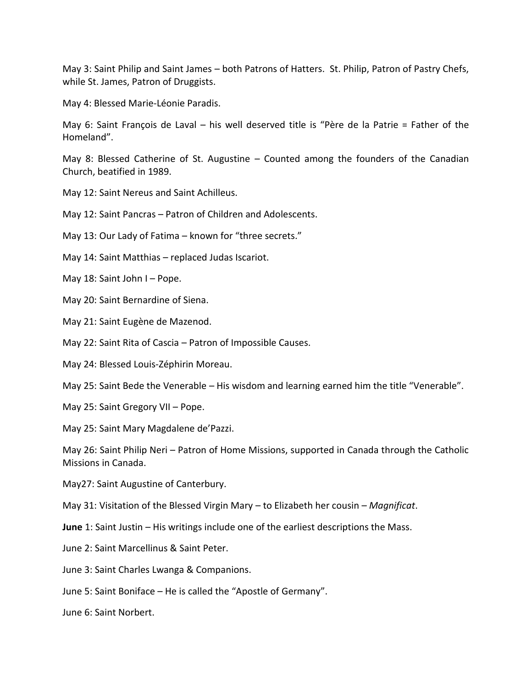May 3: Saint Philip and Saint James – both Patrons of Hatters. St. Philip, Patron of Pastry Chefs, while St. James, Patron of Druggists.

May 4: Blessed Marie-Léonie Paradis.

May 6: Saint François de Laval – his well deserved title is "Père de la Patrie = Father of the Homeland".

May 8: Blessed Catherine of St. Augustine – Counted among the founders of the Canadian Church, beatified in 1989.

May 12: Saint Nereus and Saint Achilleus.

May 12: Saint Pancras – Patron of Children and Adolescents.

May 13: Our Lady of Fatima – known for "three secrets."

May 14: Saint Matthias – replaced Judas Iscariot.

May 18: Saint John I – Pope.

- May 20: Saint Bernardine of Siena.
- May 21: Saint Eugène de Mazenod.

May 22: Saint Rita of Cascia – Patron of Impossible Causes.

May 24: Blessed Louis-Zéphirin Moreau.

May 25: Saint Bede the Venerable – His wisdom and learning earned him the title "Venerable".

May 25: Saint Gregory VII – Pope.

May 25: Saint Mary Magdalene de'Pazzi.

May 26: Saint Philip Neri – Patron of Home Missions, supported in Canada through the Catholic Missions in Canada.

May27: Saint Augustine of Canterbury.

May 31: Visitation of the Blessed Virgin Mary – to Elizabeth her cousin – *Magnificat*.

**June** 1: Saint Justin – His writings include one of the earliest descriptions the Mass.

June 2: Saint Marcellinus & Saint Peter.

June 3: Saint Charles Lwanga & Companions.

June 5: Saint Boniface – He is called the "Apostle of Germany".

June 6: Saint Norbert.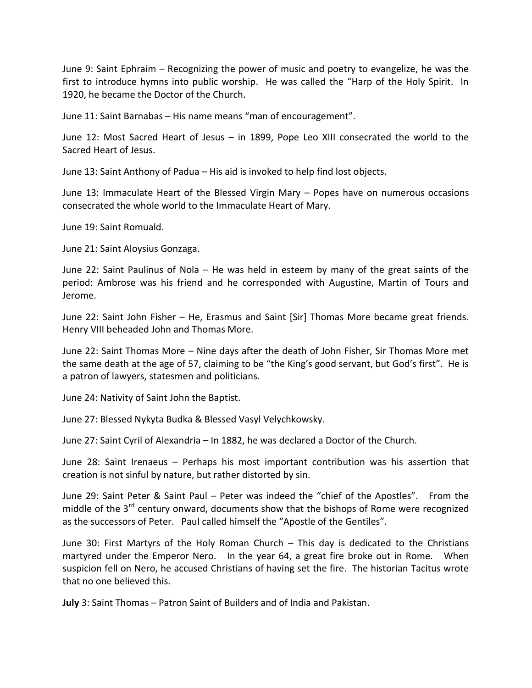June 9: Saint Ephraim – Recognizing the power of music and poetry to evangelize, he was the first to introduce hymns into public worship. He was called the "Harp of the Holy Spirit. In 1920, he became the Doctor of the Church.

June 11: Saint Barnabas – His name means "man of encouragement".

June 12: Most Sacred Heart of Jesus – in 1899, Pope Leo XIII consecrated the world to the Sacred Heart of Jesus.

June 13: Saint Anthony of Padua – His aid is invoked to help find lost objects.

June 13: Immaculate Heart of the Blessed Virgin Mary – Popes have on numerous occasions consecrated the whole world to the Immaculate Heart of Mary.

June 19: Saint Romuald.

June 21: Saint Aloysius Gonzaga.

June 22: Saint Paulinus of Nola – He was held in esteem by many of the great saints of the period: Ambrose was his friend and he corresponded with Augustine, Martin of Tours and Jerome.

June 22: Saint John Fisher – He, Erasmus and Saint [Sir] Thomas More became great friends. Henry VIII beheaded John and Thomas More.

June 22: Saint Thomas More – Nine days after the death of John Fisher, Sir Thomas More met the same death at the age of 57, claiming to be "the King's good servant, but God's first". He is a patron of lawyers, statesmen and politicians.

June 24: Nativity of Saint John the Baptist.

June 27: Blessed Nykyta Budka & Blessed Vasyl Velychkowsky.

June 27: Saint Cyril of Alexandria – In 1882, he was declared a Doctor of the Church.

June 28: Saint Irenaeus – Perhaps his most important contribution was his assertion that creation is not sinful by nature, but rather distorted by sin.

June 29: Saint Peter & Saint Paul – Peter was indeed the "chief of the Apostles". From the middle of the  $3^{rd}$  century onward, documents show that the bishops of Rome were recognized as the successors of Peter. Paul called himself the "Apostle of the Gentiles".

June 30: First Martyrs of the Holy Roman Church – This day is dedicated to the Christians martyred under the Emperor Nero. In the year 64, a great fire broke out in Rome. When suspicion fell on Nero, he accused Christians of having set the fire. The historian Tacitus wrote that no one believed this.

**July** 3: Saint Thomas – Patron Saint of Builders and of India and Pakistan.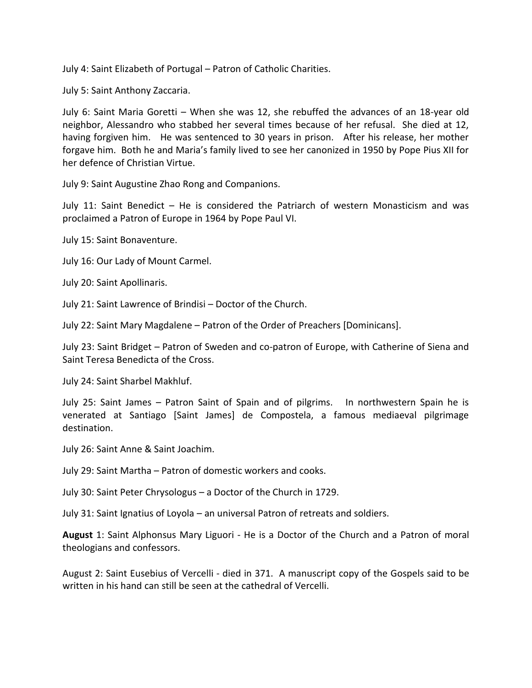July 4: Saint Elizabeth of Portugal – Patron of Catholic Charities.

July 5: Saint Anthony Zaccaria.

July 6: Saint Maria Goretti – When she was 12, she rebuffed the advances of an 18-year old neighbor, Alessandro who stabbed her several times because of her refusal. She died at 12, having forgiven him. He was sentenced to 30 years in prison. After his release, her mother forgave him. Both he and Maria's family lived to see her canonized in 1950 by Pope Pius XII for her defence of Christian Virtue.

July 9: Saint Augustine Zhao Rong and Companions.

July 11: Saint Benedict – He is considered the Patriarch of western Monasticism and was proclaimed a Patron of Europe in 1964 by Pope Paul VI.

July 15: Saint Bonaventure.

July 16: Our Lady of Mount Carmel.

July 20: Saint Apollinaris.

July 21: Saint Lawrence of Brindisi – Doctor of the Church.

July 22: Saint Mary Magdalene – Patron of the Order of Preachers [Dominicans].

July 23: Saint Bridget – Patron of Sweden and co-patron of Europe, with Catherine of Siena and Saint Teresa Benedicta of the Cross.

July 24: Saint Sharbel Makhluf.

July 25: Saint James – Patron Saint of Spain and of pilgrims. In northwestern Spain he is venerated at Santiago [Saint James] de Compostela, a famous mediaeval pilgrimage destination.

July 26: Saint Anne & Saint Joachim.

July 29: Saint Martha – Patron of domestic workers and cooks.

July 30: Saint Peter Chrysologus – a Doctor of the Church in 1729.

July 31: Saint Ignatius of Loyola – an universal Patron of retreats and soldiers.

**August** 1: Saint Alphonsus Mary Liguori - He is a Doctor of the Church and a Patron of moral theologians and confessors.

August 2: Saint Eusebius of Vercelli - died in 371. A manuscript copy of the Gospels said to be written in his hand can still be seen at the cathedral of Vercelli.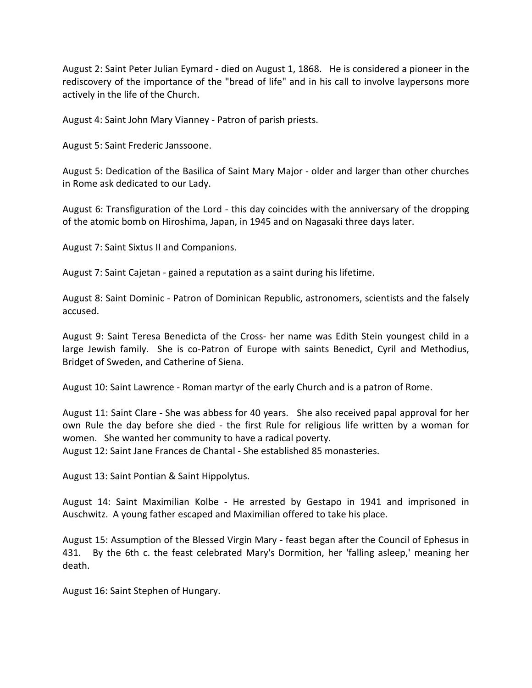August 2: Saint Peter Julian Eymard - died on August 1, 1868. He is considered a pioneer in the rediscovery of the importance of the "bread of life" and in his call to involve laypersons more actively in the life of the Church.

August 4: Saint John Mary Vianney - Patron of parish priests.

August 5: Saint Frederic Janssoone.

August 5: Dedication of the Basilica of Saint Mary Major - older and larger than other churches in Rome ask dedicated to our Lady.

August 6: Transfiguration of the Lord - this day coincides with the anniversary of the dropping of the atomic bomb on Hiroshima, Japan, in 1945 and on Nagasaki three days later.

August 7: Saint Sixtus II and Companions.

August 7: Saint Cajetan - gained a reputation as a saint during his lifetime.

August 8: Saint Dominic - Patron of Dominican Republic, astronomers, scientists and the falsely accused.

August 9: Saint Teresa Benedicta of the Cross- her name was Edith Stein youngest child in a large Jewish family. She is co-Patron of Europe with saints Benedict, Cyril and Methodius, Bridget of Sweden, and Catherine of Siena.

August 10: Saint Lawrence - Roman martyr of the early Church and is a patron of Rome.

August 11: Saint Clare - She was abbess for 40 years. She also received papal approval for her own Rule the day before she died - the first Rule for religious life written by a woman for women. She wanted her community to have a radical poverty. August 12: Saint Jane Frances de Chantal - She established 85 monasteries.

August 13: Saint Pontian & Saint Hippolytus.

August 14: Saint Maximilian Kolbe - He arrested by Gestapo in 1941 and imprisoned in Auschwitz. A young father escaped and Maximilian offered to take his place.

August 15: Assumption of the Blessed Virgin Mary - feast began after the Council of Ephesus in 431. By the 6th c. the feast celebrated Mary's Dormition, her 'falling asleep,' meaning her death.

August 16: Saint Stephen of Hungary.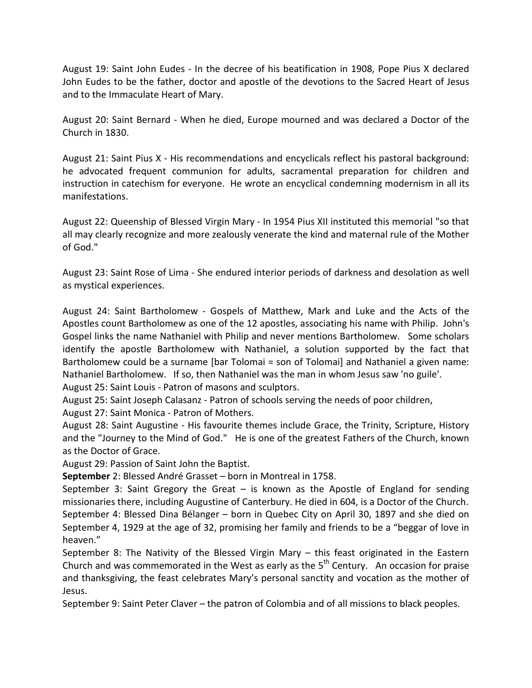August 19: Saint John Eudes - In the decree of his beatification in 1908, Pope Pius X declared John Eudes to be the father, doctor and apostle of the devotions to the Sacred Heart of Jesus and to the Immaculate Heart of Mary.

August 20: Saint Bernard - When he died, Europe mourned and was declared a Doctor of the Church in 1830.

August 21: Saint Pius X - His recommendations and encyclicals reflect his pastoral background: he advocated frequent communion for adults, sacramental preparation for children and instruction in catechism for everyone. He wrote an encyclical condemning modernism in all its manifestations.

August 22: Queenship of Blessed Virgin Mary - In 1954 Pius XII instituted this memorial "so that all may clearly recognize and more zealously venerate the kind and maternal rule of the Mother of God."

August 23: Saint Rose of Lima - She endured interior periods of darkness and desolation as well as mystical experiences.

August 24: Saint Bartholomew - Gospels of Matthew, Mark and Luke and the Acts of the Apostles count Bartholomew as one of the 12 apostles, associating his name with Philip. John's Gospel links the name Nathaniel with Philip and never mentions Bartholomew. Some scholars identify the apostle Bartholomew with Nathaniel, a solution supported by the fact that Bartholomew could be a surname [bar Tolomai = son of Tolomai] and Nathaniel a given name: Nathaniel Bartholomew. If so, then Nathaniel was the man in whom Jesus saw 'no guile'.

August 25: Saint Louis - Patron of masons and sculptors.

August 25: Saint Joseph Calasanz - Patron of schools serving the needs of poor children,

August 27: Saint Monica - Patron of Mothers.

August 28: Saint Augustine - His favourite themes include Grace, the Trinity, Scripture, History and the "Journey to the Mind of God." He is one of the greatest Fathers of the Church, known as the Doctor of Grace.

August 29: Passion of Saint John the Baptist.

**September** 2: Blessed André Grasset – born in Montreal in 1758.

September 3: Saint Gregory the Great  $-$  is known as the Apostle of England for sending missionaries there, including Augustine of Canterbury. He died in 604, is a Doctor of the Church. September 4: Blessed Dina Bélanger – born in Quebec City on April 30, 1897 and she died on September 4, 1929 at the age of 32, promising her family and friends to be a "beggar of love in heaven."

September 8: The Nativity of the Blessed Virgin Mary – this feast originated in the Eastern Church and was commemorated in the West as early as the  $5<sup>th</sup>$  Century. An occasion for praise and thanksgiving, the feast celebrates Mary's personal sanctity and vocation as the mother of Jesus.

September 9: Saint Peter Claver – the patron of Colombia and of all missions to black peoples.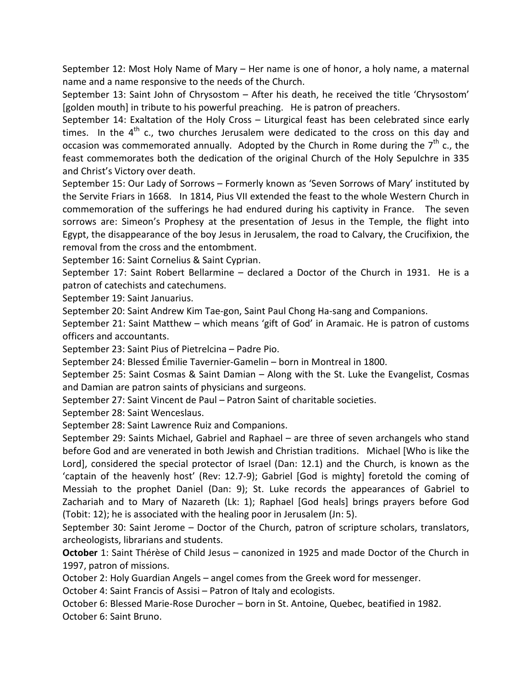September 12: Most Holy Name of Mary – Her name is one of honor, a holy name, a maternal name and a name responsive to the needs of the Church.

September 13: Saint John of Chrysostom – After his death, he received the title 'Chrysostom' [golden mouth] in tribute to his powerful preaching. He is patron of preachers.

September 14: Exaltation of the Holy Cross – Liturgical feast has been celebrated since early times. In the  $4^{\text{th}}$  c., two churches Jerusalem were dedicated to the cross on this day and occasion was commemorated annually. Adopted by the Church in Rome during the 7<sup>th</sup> c., the feast commemorates both the dedication of the original Church of the Holy Sepulchre in 335 and Christ's Victory over death.

September 15: Our Lady of Sorrows – Formerly known as 'Seven Sorrows of Mary' instituted by the Servite Friars in 1668. In 1814, Pius VII extended the feast to the whole Western Church in commemoration of the sufferings he had endured during his captivity in France. The seven sorrows are: Simeon's Prophesy at the presentation of Jesus in the Temple, the flight into Egypt, the disappearance of the boy Jesus in Jerusalem, the road to Calvary, the Crucifixion, the removal from the cross and the entombment.

September 16: Saint Cornelius & Saint Cyprian.

September 17: Saint Robert Bellarmine – declared a Doctor of the Church in 1931. He is a patron of catechists and catechumens.

September 19: Saint Januarius.

September 20: Saint Andrew Kim Tae-gon, Saint Paul Chong Ha-sang and Companions.

September 21: Saint Matthew – which means 'gift of God' in Aramaic. He is patron of customs officers and accountants.

September 23: Saint Pius of Pietrelcina – Padre Pio.

September 24: Blessed Émilie Tavernier-Gamelin – born in Montreal in 1800.

September 25: Saint Cosmas & Saint Damian – Along with the St. Luke the Evangelist, Cosmas and Damian are patron saints of physicians and surgeons.

September 27: Saint Vincent de Paul – Patron Saint of charitable societies.

September 28: Saint Wenceslaus.

September 28: Saint Lawrence Ruiz and Companions.

September 29: Saints Michael, Gabriel and Raphael – are three of seven archangels who stand before God and are venerated in both Jewish and Christian traditions. Michael [Who is like the Lord], considered the special protector of Israel (Dan: 12.1) and the Church, is known as the 'captain of the heavenly host' (Rev: 12.7-9); Gabriel [God is mighty] foretold the coming of Messiah to the prophet Daniel (Dan: 9); St. Luke records the appearances of Gabriel to Zachariah and to Mary of Nazareth (Lk: 1); Raphael [God heals] brings prayers before God (Tobit: 12); he is associated with the healing poor in Jerusalem (Jn: 5).

September 30: Saint Jerome – Doctor of the Church, patron of scripture scholars, translators, archeologists, librarians and students.

**October** 1: Saint Thérèse of Child Jesus – canonized in 1925 and made Doctor of the Church in 1997, patron of missions.

October 2: Holy Guardian Angels – angel comes from the Greek word for messenger.

October 4: Saint Francis of Assisi – Patron of Italy and ecologists.

October 6: Blessed Marie-Rose Durocher – born in St. Antoine, Quebec, beatified in 1982. October 6: Saint Bruno.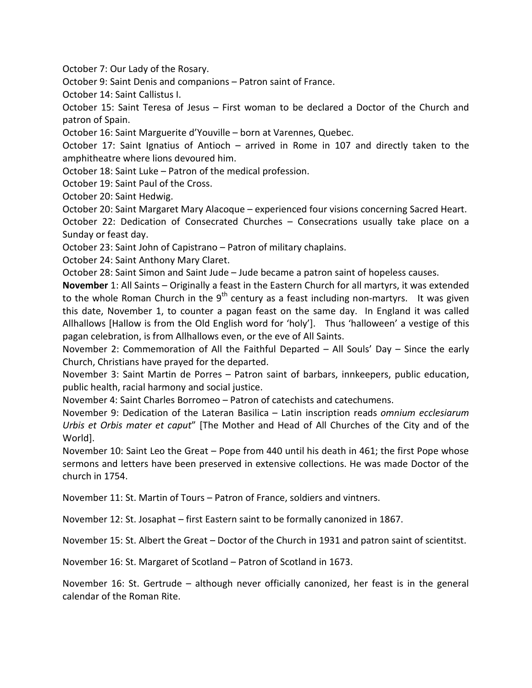October 7: Our Lady of the Rosary.

October 9: Saint Denis and companions – Patron saint of France.

October 14: Saint Callistus I.

October 15: Saint Teresa of Jesus – First woman to be declared a Doctor of the Church and patron of Spain.

October 16: Saint Marguerite d'Youville – born at Varennes, Quebec.

October 17: Saint Ignatius of Antioch – arrived in Rome in 107 and directly taken to the amphitheatre where lions devoured him.

October 18: Saint Luke – Patron of the medical profession.

October 19: Saint Paul of the Cross.

October 20: Saint Hedwig.

October 20: Saint Margaret Mary Alacoque – experienced four visions concerning Sacred Heart.

October 22: Dedication of Consecrated Churches – Consecrations usually take place on a Sunday or feast day.

October 23: Saint John of Capistrano – Patron of military chaplains.

October 24: Saint Anthony Mary Claret.

October 28: Saint Simon and Saint Jude – Jude became a patron saint of hopeless causes.

**November** 1: All Saints – Originally a feast in the Eastern Church for all martyrs, it was extended to the whole Roman Church in the 9<sup>th</sup> century as a feast including non-martyrs. It was given this date, November 1, to counter a pagan feast on the same day. In England it was called Allhallows [Hallow is from the Old English word for 'holy']. Thus 'halloween' a vestige of this pagan celebration, is from Allhallows even, or the eve of All Saints.

November 2: Commemoration of All the Faithful Departed – All Souls' Day – Since the early Church, Christians have prayed for the departed.

November 3: Saint Martin de Porres – Patron saint of barbars, innkeepers, public education, public health, racial harmony and social justice.

November 4: Saint Charles Borromeo – Patron of catechists and catechumens.

November 9: Dedication of the Lateran Basilica – Latin inscription reads *omnium ecclesiarum Urbis et Orbis mater et caput*" [The Mother and Head of All Churches of the City and of the World].

November 10: Saint Leo the Great – Pope from 440 until his death in 461; the first Pope whose sermons and letters have been preserved in extensive collections. He was made Doctor of the church in 1754.

November 11: St. Martin of Tours – Patron of France, soldiers and vintners.

November 12: St. Josaphat – first Eastern saint to be formally canonized in 1867.

November 15: St. Albert the Great – Doctor of the Church in 1931 and patron saint of scientitst.

November 16: St. Margaret of Scotland – Patron of Scotland in 1673.

November 16: St. Gertrude – although never officially canonized, her feast is in the general calendar of the Roman Rite.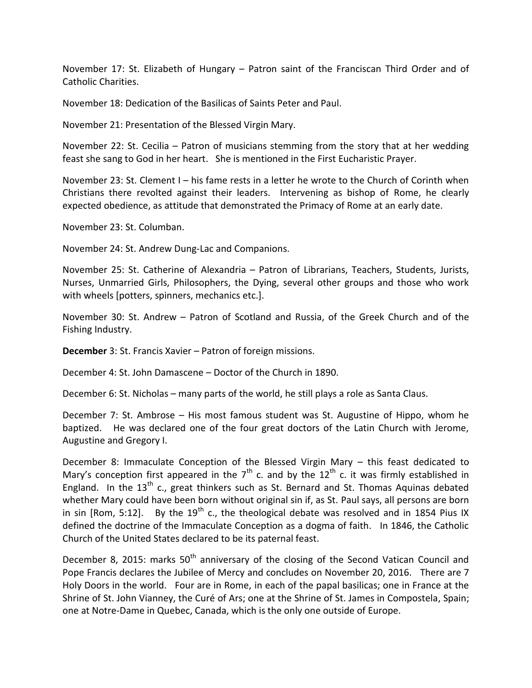November 17: St. Elizabeth of Hungary – Patron saint of the Franciscan Third Order and of Catholic Charities.

November 18: Dedication of the Basilicas of Saints Peter and Paul.

November 21: Presentation of the Blessed Virgin Mary.

November 22: St. Cecilia – Patron of musicians stemming from the story that at her wedding feast she sang to God in her heart. She is mentioned in the First Eucharistic Prayer.

November 23: St. Clement I – his fame rests in a letter he wrote to the Church of Corinth when Christians there revolted against their leaders. Intervening as bishop of Rome, he clearly expected obedience, as attitude that demonstrated the Primacy of Rome at an early date.

November 23: St. Columban.

November 24: St. Andrew Dung-Lac and Companions.

November 25: St. Catherine of Alexandria – Patron of Librarians, Teachers, Students, Jurists, Nurses, Unmarried Girls, Philosophers, the Dying, several other groups and those who work with wheels [potters, spinners, mechanics etc.].

November 30: St. Andrew – Patron of Scotland and Russia, of the Greek Church and of the Fishing Industry.

**December** 3: St. Francis Xavier – Patron of foreign missions.

December 4: St. John Damascene – Doctor of the Church in 1890.

December 6: St. Nicholas – many parts of the world, he still plays a role as Santa Claus.

December 7: St. Ambrose – His most famous student was St. Augustine of Hippo, whom he baptized. He was declared one of the four great doctors of the Latin Church with Jerome, Augustine and Gregory I.

December 8: Immaculate Conception of the Blessed Virgin Mary – this feast dedicated to Mary's conception first appeared in the  $7<sup>th</sup>$  c. and by the 12<sup>th</sup> c. it was firmly established in England. In the  $13<sup>th</sup>$  c., great thinkers such as St. Bernard and St. Thomas Aquinas debated whether Mary could have been born without original sin if, as St. Paul says, all persons are born in sin [Rom, 5:12]. By the 19<sup>th</sup> c., the theological debate was resolved and in 1854 Pius IX defined the doctrine of the Immaculate Conception as a dogma of faith. In 1846, the Catholic Church of the United States declared to be its paternal feast.

December 8, 2015: marks 50<sup>th</sup> anniversary of the closing of the Second Vatican Council and Pope Francis declares the Jubilee of Mercy and concludes on November 20, 2016. There are 7 Holy Doors in the world. Four are in Rome, in each of the papal basilicas; one in France at the Shrine of St. John Vianney, the Curé of Ars; one at the Shrine of St. James in Compostela, Spain; one at Notre-Dame in Quebec, Canada, which is the only one outside of Europe.